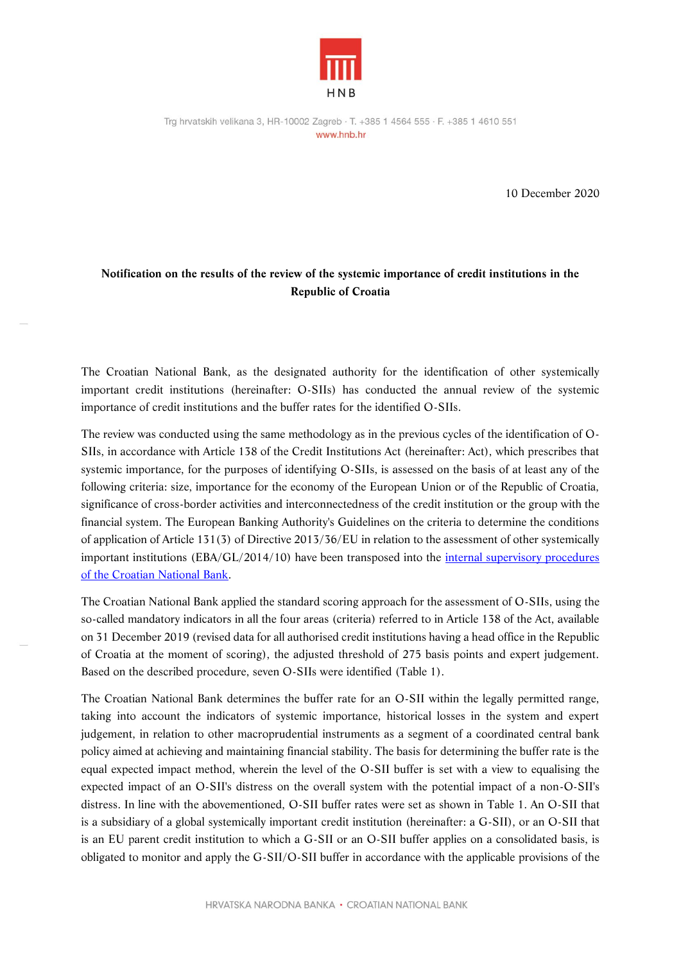

10 December 2020

## **Notification on the results of the review of the systemic importance of credit institutions in the Republic of Croatia**

The Croatian National Bank, as the designated authority for the identification of other systemically important credit institutions (hereinafter: O-SIIs) has conducted the annual review of the systemic importance of credit institutions and the buffer rates for the identified O-SIIs.

The review was conducted using the same methodology as in the previous cycles of the identification of O-SIIs, in accordance with Article 138 of the Credit Institutions Act (hereinafter: Act), which prescribes that systemic importance, for the purposes of identifying O-SIIs, is assessed on the basis of at least any of the following criteria: size, importance for the economy of the European Union or of the Republic of Croatia, significance of cross-border activities and interconnectedness of the credit institution or the group with the financial system. The European Banking Authority's Guidelines on the criteria to determine the conditions of application of Article 131(3) of Directive 2013/36/EU in relation to the assessment of other systemically important institutions (EBA/GL/2014/10) have been transposed into the [internal supervisory procedures](https://www.hnb.hr/documents/20182/121030/tf-s-sjo-spo-pdf-h-postupak_osv.pdf/078c7dc5-e747-4e08-9409-0ebe9dc22774)  [of the Croatian National Bank.](https://www.hnb.hr/documents/20182/121030/tf-s-sjo-spo-pdf-h-postupak_osv.pdf/078c7dc5-e747-4e08-9409-0ebe9dc22774)

The Croatian National Bank applied the standard scoring approach for the assessment of O-SIIs, using the so-called mandatory indicators in all the four areas (criteria) referred to in Article 138 of the Act, available on 31 December 2019 (revised data for all authorised credit institutions having a head office in the Republic of Croatia at the moment of scoring), the adjusted threshold of 275 basis points and expert judgement. Based on the described procedure, seven O-SIIs were identified (Table 1).

The Croatian National Bank determines the buffer rate for an O-SII within the legally permitted range, taking into account the indicators of systemic importance, historical losses in the system and expert judgement, in relation to other macroprudential instruments as a segment of a coordinated central bank policy aimed at achieving and maintaining financial stability. The basis for determining the buffer rate is the equal expected impact method, wherein the level of the O-SII buffer is set with a view to equalising the expected impact of an O-SII's distress on the overall system with the potential impact of a non-O-SII's distress. In line with the abovementioned, O-SII buffer rates were set as shown in Table 1. An O-SII that is a subsidiary of a global systemically important credit institution (hereinafter: a G-SII), or an O-SII that is an EU parent credit institution to which a G-SII or an O-SII buffer applies on a consolidated basis, is obligated to monitor and apply the G-SII/O-SII buffer in accordance with the applicable provisions of the